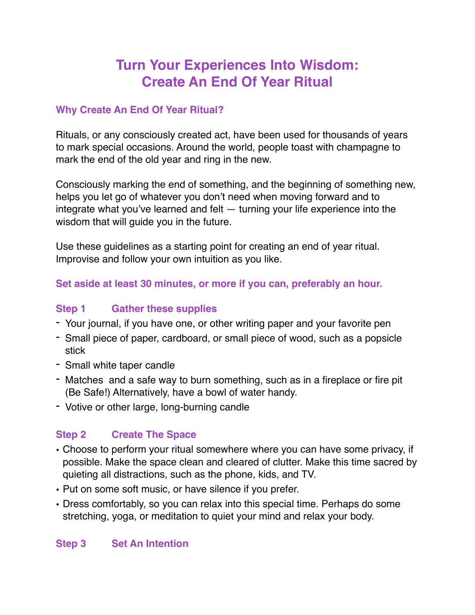# **Turn Your Experiences Into Wisdom: Create An End Of Year Ritual**

## **Why Create An End Of Year Ritual?**

Rituals, or any consciously created act, have been used for thousands of years to mark special occasions. Around the world, people toast with champagne to mark the end of the old year and ring in the new.

Consciously marking the end of something, and the beginning of something new, helps you let go of whatever you don't need when moving forward and to integrate what you've learned and felt — turning your life experience into the wisdom that will guide you in the future.

Use these guidelines as a starting point for creating an end of year ritual. Improvise and follow your own intuition as you like.

#### **Set aside at least 30 minutes, or more if you can, preferably an hour.**

#### **Step 1 Gather these supplies**

- Your journal, if you have one, or other writing paper and your favorite pen
- Small piece of paper, cardboard, or small piece of wood, such as a popsicle stick
- Small white taper candle
- Matches and a safe way to burn something, such as in a fireplace or fire pit (Be Safe!) Alternatively, have a bowl of water handy.
- Votive or other large, long-burning candle

## **Step 2 Create The Space**

- Choose to perform your ritual somewhere where you can have some privacy, if possible. Make the space clean and cleared of clutter. Make this time sacred by quieting all distractions, such as the phone, kids, and TV.
- Put on some soft music, or have silence if you prefer.
- Dress comfortably, so you can relax into this special time. Perhaps do some stretching, yoga, or meditation to quiet your mind and relax your body.

#### **Step 3 Set An Intention**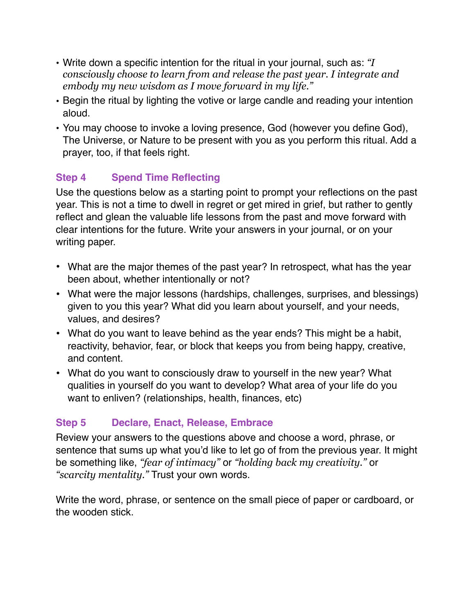- Write down a specific intention for the ritual in your journal, such as: *"I consciously choose to learn from and release the past year. I integrate and embody my new wisdom as I move forward in my life."*
- Begin the ritual by lighting the votive or large candle and reading your intention aloud.
- You may choose to invoke a loving presence, God (however you define God), The Universe, or Nature to be present with you as you perform this ritual. Add a prayer, too, if that feels right.

# **Step 4 Spend Time Reflecting**

Use the questions below as a starting point to prompt your reflections on the past year. This is not a time to dwell in regret or get mired in grief, but rather to gently reflect and glean the valuable life lessons from the past and move forward with clear intentions for the future. Write your answers in your journal, or on your writing paper.

- What are the major themes of the past year? In retrospect, what has the year been about, whether intentionally or not?
- What were the major lessons (hardships, challenges, surprises, and blessings) given to you this year? What did you learn about yourself, and your needs, values, and desires?
- What do you want to leave behind as the year ends? This might be a habit, reactivity, behavior, fear, or block that keeps you from being happy, creative, and content.
- What do you want to consciously draw to yourself in the new year? What qualities in yourself do you want to develop? What area of your life do you want to enliven? (relationships, health, finances, etc)

# **Step 5 Declare, Enact, Release, Embrace**

Review your answers to the questions above and choose a word, phrase, or sentence that sums up what you'd like to let go of from the previous year. It might be something like, *"fear of intimacy"* or *"holding back my creativity."* or *"scarcity mentality."* Trust your own words.

Write the word, phrase, or sentence on the small piece of paper or cardboard, or the wooden stick.